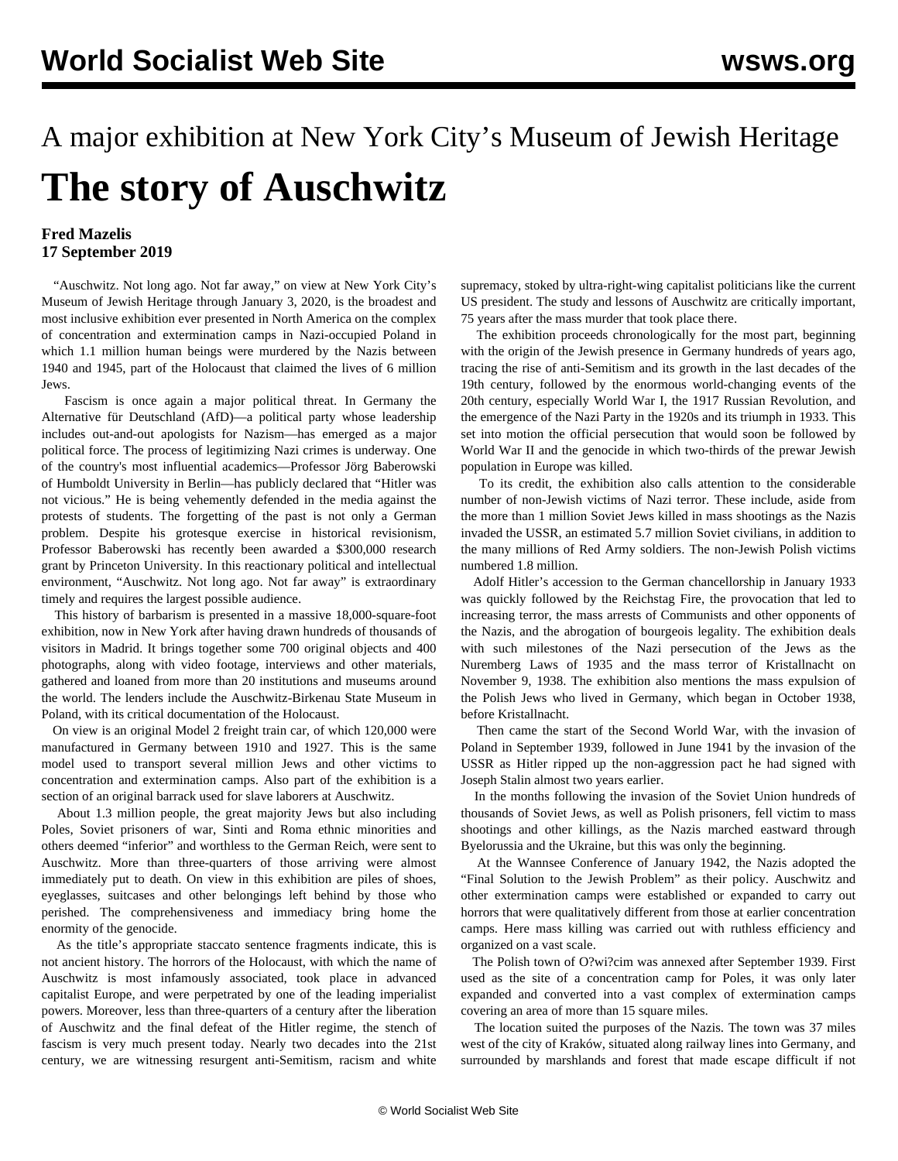## A major exhibition at New York City's Museum of Jewish Heritage **The story of Auschwitz**

## **Fred Mazelis 17 September 2019**

 "Auschwitz. Not long ago. Not far away," on view at New York City's Museum of Jewish Heritage through January 3, 2020, is the broadest and most inclusive exhibition ever presented in North America on the complex of concentration and extermination camps in Nazi-occupied Poland in which 1.1 million human beings were murdered by the Nazis between 1940 and 1945, part of the Holocaust that claimed the lives of 6 million Jews.

 Fascism is once again a major political threat. In Germany the Alternative für Deutschland (AfD)—a political party whose leadership includes out-and-out apologists for Nazism—has emerged as a major political force. The process of legitimizing Nazi crimes is underway. One of the country's most influential academics—Professor Jörg Baberowski of Humboldt University in Berlin—has publicly declared that "Hitler was not vicious." He is being vehemently defended in the media against the protests of students. The forgetting of the past is not only a German problem. Despite his grotesque exercise in historical revisionism, Professor Baberowski has recently been awarded a \$300,000 research grant by [Princeton University](/en/articles/2019/04/10/babe-a11.html). In this reactionary political and intellectual environment, "Auschwitz. Not long ago. Not far away" is extraordinary timely and requires the largest possible audience.

 This history of barbarism is presented in a massive 18,000-square-foot exhibition, now in New York after having drawn hundreds of thousands of visitors in Madrid. It brings together some 700 original objects and 400 photographs, along with video footage, interviews and other materials, gathered and loaned from more than 20 institutions and museums around the world. The lenders include the Auschwitz-Birkenau State Museum in Poland, with its critical documentation of the Holocaust.

 On view is an original Model 2 freight train car, of which 120,000 were manufactured in Germany between 1910 and 1927. This is the same model used to transport several million Jews and other victims to concentration and extermination camps. Also part of the exhibition is a section of an original barrack used for slave laborers at Auschwitz.

 About 1.3 million people, the great majority Jews but also including Poles, Soviet prisoners of war, Sinti and Roma ethnic minorities and others deemed "inferior" and worthless to the German Reich, were sent to Auschwitz. More than three-quarters of those arriving were almost immediately put to death. On view in this exhibition are piles of shoes, eyeglasses, suitcases and other belongings left behind by those who perished. The comprehensiveness and immediacy bring home the enormity of the genocide.

 As the title's appropriate staccato sentence fragments indicate, this is not ancient history. The horrors of the Holocaust, with which the name of Auschwitz is most infamously associated, took place in advanced capitalist Europe, and were perpetrated by one of the leading imperialist powers. Moreover, less than three-quarters of a century after the liberation of Auschwitz and the final defeat of the Hitler regime, the stench of fascism is very much present today. Nearly two decades into the 21st century, we are witnessing resurgent anti-Semitism, racism and white supremacy, stoked by ultra-right-wing capitalist politicians like the current US president. The study and lessons of Auschwitz are critically important, 75 years after the mass murder that took place there.

 The exhibition proceeds chronologically for the most part, beginning with the origin of the Jewish presence in Germany hundreds of years ago, tracing the rise of anti-Semitism and its growth in the last decades of the 19th century, followed by the enormous world-changing events of the 20th century, especially World War I, the 1917 Russian Revolution, and the emergence of the Nazi Party in the 1920s and its triumph in 1933. This set into motion the official persecution that would soon be followed by World War II and the genocide in which two-thirds of the prewar Jewish population in Europe was killed.

 To its credit, the exhibition also calls attention to the considerable number of non-Jewish victims of Nazi terror. These include, aside from the more than 1 million Soviet Jews killed in mass shootings as the Nazis invaded the USSR, an estimated 5.7 million Soviet civilians, in addition to the many millions of Red Army soldiers. The non-Jewish Polish victims numbered 1.8 million.

 Adolf Hitler's accession to the German chancellorship in January 1933 was quickly followed by the Reichstag Fire, the provocation that led to increasing terror, the mass arrests of Communists and other opponents of the Nazis, and the abrogation of bourgeois legality. The exhibition deals with such milestones of the Nazi persecution of the Jews as the Nuremberg Laws of 1935 and the mass terror of Kristallnacht on November 9, 1938. The exhibition also mentions the mass expulsion of the Polish Jews who lived in Germany, which began in October 1938, before Kristallnacht.

 Then came the start of the Second World War, with the invasion of Poland in September 1939, followed in June 1941 by the invasion of the USSR as Hitler ripped up the non-aggression pact he had signed with Joseph Stalin almost two years earlier.

 In the months following the invasion of the Soviet Union hundreds of thousands of Soviet Jews, as well as Polish prisoners, fell victim to mass shootings and other killings, as the Nazis marched eastward through Byelorussia and the Ukraine, but this was only the beginning.

 At the Wannsee Conference of January 1942, the Nazis adopted the "Final Solution to the Jewish Problem" as their policy. Auschwitz and other extermination camps were established or expanded to carry out horrors that were qualitatively different from those at earlier concentration camps. Here mass killing was carried out with ruthless efficiency and organized on a vast scale.

 The Polish town of O?wi?cim was annexed after September 1939. First used as the site of a concentration camp for Poles, it was only later expanded and converted into a vast complex of extermination camps covering an area of more than 15 square miles.

 The location suited the purposes of the Nazis. The town was 37 miles west of the city of Kraków, situated along railway lines into Germany, and surrounded by marshlands and forest that made escape difficult if not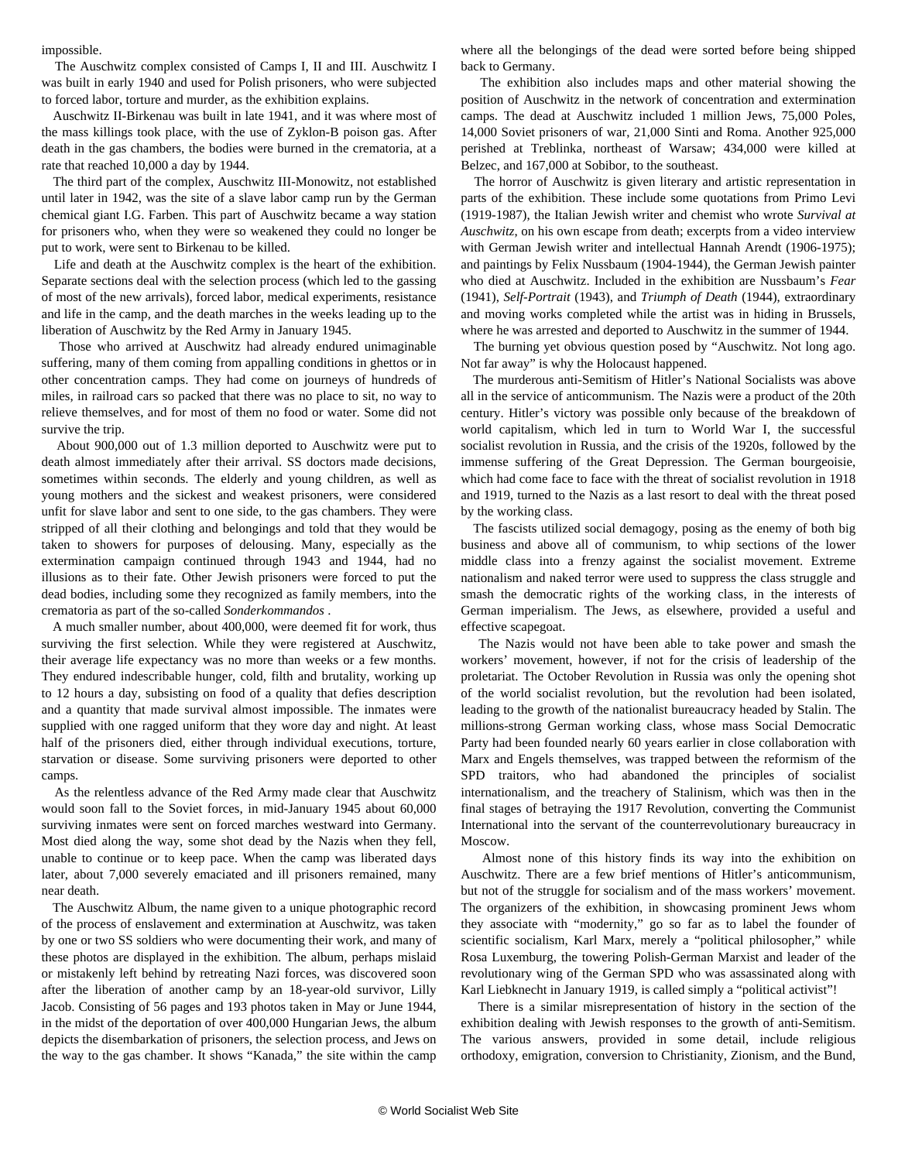impossible.

 The Auschwitz complex consisted of Camps I, II and III. Auschwitz I was built in early 1940 and used for Polish prisoners, who were subjected to forced labor, torture and murder, as the exhibition explains.

 Auschwitz II-Birkenau was built in late 1941, and it was where most of the mass killings took place, with the use of Zyklon-B poison gas. After death in the gas chambers, the bodies were burned in the crematoria, at a rate that reached 10,000 a day by 1944.

 The third part of the complex, Auschwitz III-Monowitz, not established until later in 1942, was the site of a slave labor camp run by the German chemical giant I.G. Farben. This part of Auschwitz became a way station for prisoners who, when they were so weakened they could no longer be put to work, were sent to Birkenau to be killed.

 Life and death at the Auschwitz complex is the heart of the exhibition. Separate sections deal with the selection process (which led to the gassing of most of the new arrivals), forced labor, medical experiments, resistance and life in the camp, and the death marches in the weeks leading up to the liberation of Auschwitz by the Red Army in January 1945.

 Those who arrived at Auschwitz had already endured unimaginable suffering, many of them coming from appalling conditions in ghettos or in other concentration camps. They had come on journeys of hundreds of miles, in railroad cars so packed that there was no place to sit, no way to relieve themselves, and for most of them no food or water. Some did not survive the trip.

 About 900,000 out of 1.3 million deported to Auschwitz were put to death almost immediately after their arrival. SS doctors made decisions, sometimes within seconds. The elderly and young children, as well as young mothers and the sickest and weakest prisoners, were considered unfit for slave labor and sent to one side, to the gas chambers. They were stripped of all their clothing and belongings and told that they would be taken to showers for purposes of delousing. Many, especially as the extermination campaign continued through 1943 and 1944, had no illusions as to their fate. Other Jewish prisoners were forced to put the dead bodies, including some they recognized as family members, into the crematoria as part of the so-called *Sonderkommandos* .

 A much smaller number, about 400,000, were deemed fit for work, thus surviving the first selection. While they were registered at Auschwitz, their average life expectancy was no more than weeks or a few months. They endured indescribable hunger, cold, filth and brutality, working up to 12 hours a day, subsisting on food of a quality that defies description and a quantity that made survival almost impossible. The inmates were supplied with one ragged uniform that they wore day and night. At least half of the prisoners died, either through individual executions, torture, starvation or disease. Some surviving prisoners were deported to other camps.

 As the relentless advance of the Red Army made clear that Auschwitz would soon fall to the Soviet forces, in mid-January 1945 about 60,000 surviving inmates were sent on forced marches westward into Germany. Most died along the way, some shot dead by the Nazis when they fell, unable to continue or to keep pace. When the camp was liberated days later, about 7,000 severely emaciated and ill prisoners remained, many near death.

 The Auschwitz Album, the name given to a unique photographic record of the process of enslavement and extermination at Auschwitz, was taken by one or two SS soldiers who were documenting their work, and many of these photos are displayed in the exhibition. The album, perhaps mislaid or mistakenly left behind by retreating Nazi forces, was discovered soon after the liberation of another camp by an 18-year-old survivor, Lilly Jacob. Consisting of 56 pages and 193 photos taken in May or June 1944, in the midst of the deportation of over 400,000 Hungarian Jews, the album depicts the disembarkation of prisoners, the selection process, and Jews on the way to the gas chamber. It shows "Kanada," the site within the camp where all the belongings of the dead were sorted before being shipped back to Germany.

 The exhibition also includes maps and other material showing the position of Auschwitz in the network of concentration and extermination camps. The dead at Auschwitz included 1 million Jews, 75,000 Poles, 14,000 Soviet prisoners of war, 21,000 Sinti and Roma. Another 925,000 perished at Treblinka, northeast of Warsaw; 434,000 were killed at Belzec, and 167,000 at Sobibor, to the southeast.

 The horror of Auschwitz is given literary and artistic representation in parts of the exhibition. These include some quotations from Primo Levi (1919-1987), the Italian Jewish writer and chemist who wrote *Survival at Auschwitz*, on his own escape from death; excerpts from a video interview with German Jewish writer and intellectual Hannah Arendt (1906-1975); and paintings by Felix Nussbaum (1904-1944), the German Jewish painter who died at Auschwitz. Included in the exhibition are Nussbaum's *Fear* (1941), *Self-Portrait* (1943), and *Triumph of Death* (1944), extraordinary and moving works completed while the artist was in hiding in Brussels, where he was arrested and deported to Auschwitz in the summer of 1944.

 The burning yet obvious question posed by "Auschwitz. Not long ago. Not far away" is why the Holocaust happened.

 The murderous anti-Semitism of Hitler's National Socialists was above all in the service of anticommunism. The Nazis were a product of the 20th century. Hitler's victory was possible only because of the breakdown of world capitalism, which led in turn to World War I, the successful socialist revolution in Russia, and the crisis of the 1920s, followed by the immense suffering of the Great Depression. The German bourgeoisie, which had come face to face with the threat of socialist revolution in 1918 and 1919, turned to the Nazis as a last resort to deal with the threat posed by the working class.

 The fascists utilized social demagogy, posing as the enemy of both big business and above all of communism, to whip sections of the lower middle class into a frenzy against the socialist movement. Extreme nationalism and naked terror were used to suppress the class struggle and smash the democratic rights of the working class, in the interests of German imperialism. The Jews, as elsewhere, provided a useful and effective scapegoat.

 The Nazis would not have been able to take power and smash the workers' movement, however, if not for the crisis of leadership of the proletariat. The October Revolution in Russia was only the opening shot of the world socialist revolution, but the revolution had been isolated, leading to the growth of the nationalist bureaucracy headed by Stalin. The millions-strong German working class, whose mass Social Democratic Party had been founded nearly 60 years earlier in close collaboration with Marx and Engels themselves, was trapped between the reformism of the SPD traitors, who had abandoned the principles of socialist internationalism, and the treachery of Stalinism, which was then in the final stages of betraying the 1917 Revolution, converting the Communist International into the servant of the counterrevolutionary bureaucracy in Moscow.

 Almost none of this history finds its way into the exhibition on Auschwitz. There are a few brief mentions of Hitler's anticommunism, but not of the struggle for socialism and of the mass workers' movement. The organizers of the exhibition, in showcasing prominent Jews whom they associate with "modernity," go so far as to label the founder of scientific socialism, Karl Marx, merely a "political philosopher," while Rosa Luxemburg, the towering Polish-German Marxist and leader of the revolutionary wing of the German SPD who was assassinated along with Karl Liebknecht in January 1919, is called simply a "political activist"!

 There is a similar misrepresentation of history in the section of the exhibition dealing with Jewish responses to the growth of anti-Semitism. The various answers, provided in some detail, include religious orthodoxy, emigration, conversion to Christianity, Zionism, and the Bund,